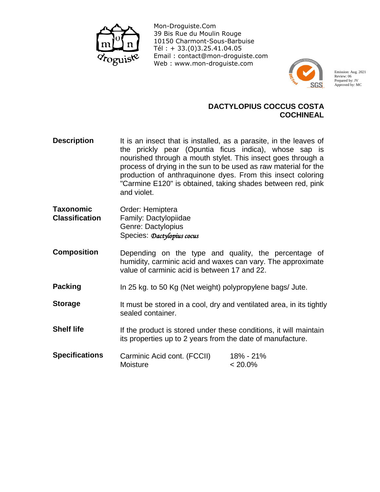

Mon-Droguiste.Com 39 Bis Rue du Moulin Rouge 10150 Charmont-Sous-Barbuise Tél : + 33.(0)3.25.41.04.05 Email : contact@mon-droguiste.com Web : www.mon-droguiste.com



Emission: Aug. 2021 Review: 06 Prepared by: JV Approved by: MC

## **DACTYLOPIUS COCCUS COSTA COCHINEAL**

- **Description**  It is an insect that is installed, as a parasite, in the leaves of the prickly pear (Opuntia ficus indica), whose sap is nourished through a mouth stylet. This insect goes through a process of drying in the sun to be used as raw material for the production of anthraquinone dyes. From this insect coloring "Carmine E120" is obtained, taking shades between red, pink and violet.
- **Taxonomic Classification**  Order: Hemiptera Family: Dactylopiidae Genre: Dactylopius Species: *Dactylopius cocus*
- **Composition**  Depending on the type and quality, the percentage of humidity, carminic acid and waxes can vary. The approximate value of carminic acid is between 17 and 22.
- **Packing**  In 25 kg. to 50 Kg (Net weight) polypropylene bags/ Jute.
- **Storage**  It must be stored in a cool, dry and ventilated area, in its tightly sealed container.
- **Shelf life**  If the product is stored under these conditions, it will maintain its properties up to 2 years from the date of manufacture.
- **Specifications**  Carminic Acid cont. (FCCII) 18% - 21% Moisture < 20.0%